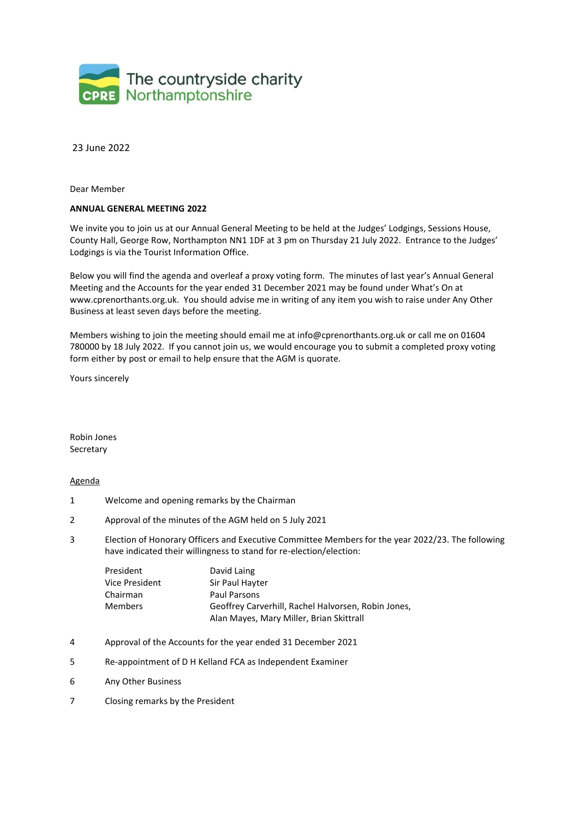

23 June 2022

Dear Member

# **ANNUAL GENERAL MEETING 2022**

We invite you to join us at our Annual General Meeting to be held at the Judges' Lodgings, Sessions House, County Hall, George Row, Northampton NN1 1DF at 3 pm on Thursday 21 July 2022. Entrance to the Judges' Lodgings is via the Tourist Information Office.

Below you will find the agenda and overleaf a proxy voting form. The minutes of last year's Annual General Meeting and the Accounts for the year ended 31 December 2021 may be found under What's On at [www.cprenorthants.org.uk.](http://www.cprenorthants.org.uk/) You should advise me in writing of any item you wish to raise under Any Other Business at least seven days before the meeting.

Members wishing to join the meeting should email me at [info@cprenorthants.org.uk o](mailto:info@cprenorthants.org.uk)r call me on 01604 780000 by 18 July 2022. If you cannot join us, we would encourage you to submit a completed proxy voting form either by post or email to help ensure that the AGM is quorate.

Yours sincerely

Robin Jones Secretary

# Agenda

- 1 Welcome and opening remarks by the Chairman
- 2 Approval of the minutes of the AGM held on 5 July 2021
- 3 Election of Honorary Officers and Executive Committee Members for the year 2022/23. The following have indicated their willingness to stand for re-election/election:

| President      | David Laing                                         |  |
|----------------|-----------------------------------------------------|--|
| Vice President | Sir Paul Hayter                                     |  |
| Chairman       | Paul Parsons                                        |  |
| <b>Members</b> | Geoffrey Carverhill, Rachel Halvorsen, Robin Jones, |  |
|                | Alan Mayes, Mary Miller, Brian Skittrall            |  |

- 4 Approval of the Accounts for the year ended 31 December 2021
- 5 Re-appointment of D H Kelland FCA as Independent Examiner
- 6 Any Other Business
- 7 Closing remarks by the President